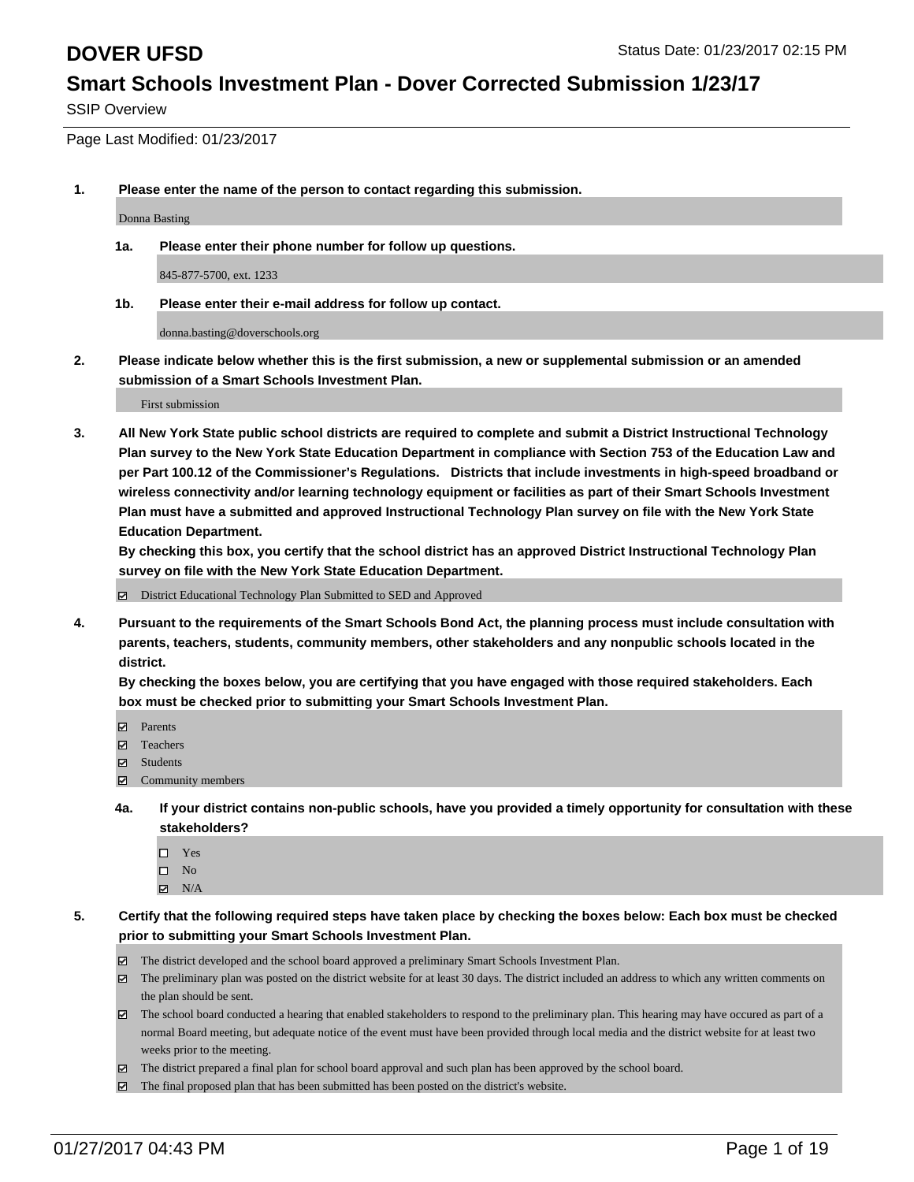SSIP Overview

Page Last Modified: 01/23/2017

**1. Please enter the name of the person to contact regarding this submission.**

Donna Basting

**1a. Please enter their phone number for follow up questions.**

845-877-5700, ext. 1233

**1b. Please enter their e-mail address for follow up contact.**

donna.basting@doverschools.org

**2. Please indicate below whether this is the first submission, a new or supplemental submission or an amended submission of a Smart Schools Investment Plan.**

First submission

**3. All New York State public school districts are required to complete and submit a District Instructional Technology Plan survey to the New York State Education Department in compliance with Section 753 of the Education Law and per Part 100.12 of the Commissioner's Regulations. Districts that include investments in high-speed broadband or wireless connectivity and/or learning technology equipment or facilities as part of their Smart Schools Investment Plan must have a submitted and approved Instructional Technology Plan survey on file with the New York State Education Department.** 

**By checking this box, you certify that the school district has an approved District Instructional Technology Plan survey on file with the New York State Education Department.**

District Educational Technology Plan Submitted to SED and Approved

**4. Pursuant to the requirements of the Smart Schools Bond Act, the planning process must include consultation with parents, teachers, students, community members, other stakeholders and any nonpublic schools located in the district.** 

**By checking the boxes below, you are certifying that you have engaged with those required stakeholders. Each box must be checked prior to submitting your Smart Schools Investment Plan.**

- **Parents**
- Teachers
- **☑** Students
- Community members
- **4a. If your district contains non-public schools, have you provided a timely opportunity for consultation with these stakeholders?**
	- □ Yes
	- $\square$  No
	- $\boxtimes$  N/A
- **5. Certify that the following required steps have taken place by checking the boxes below: Each box must be checked prior to submitting your Smart Schools Investment Plan.**
	- The district developed and the school board approved a preliminary Smart Schools Investment Plan.
	- The preliminary plan was posted on the district website for at least 30 days. The district included an address to which any written comments on the plan should be sent.
	- The school board conducted a hearing that enabled stakeholders to respond to the preliminary plan. This hearing may have occured as part of a normal Board meeting, but adequate notice of the event must have been provided through local media and the district website for at least two weeks prior to the meeting.
	- The district prepared a final plan for school board approval and such plan has been approved by the school board.
	- $\boxtimes$  The final proposed plan that has been submitted has been posted on the district's website.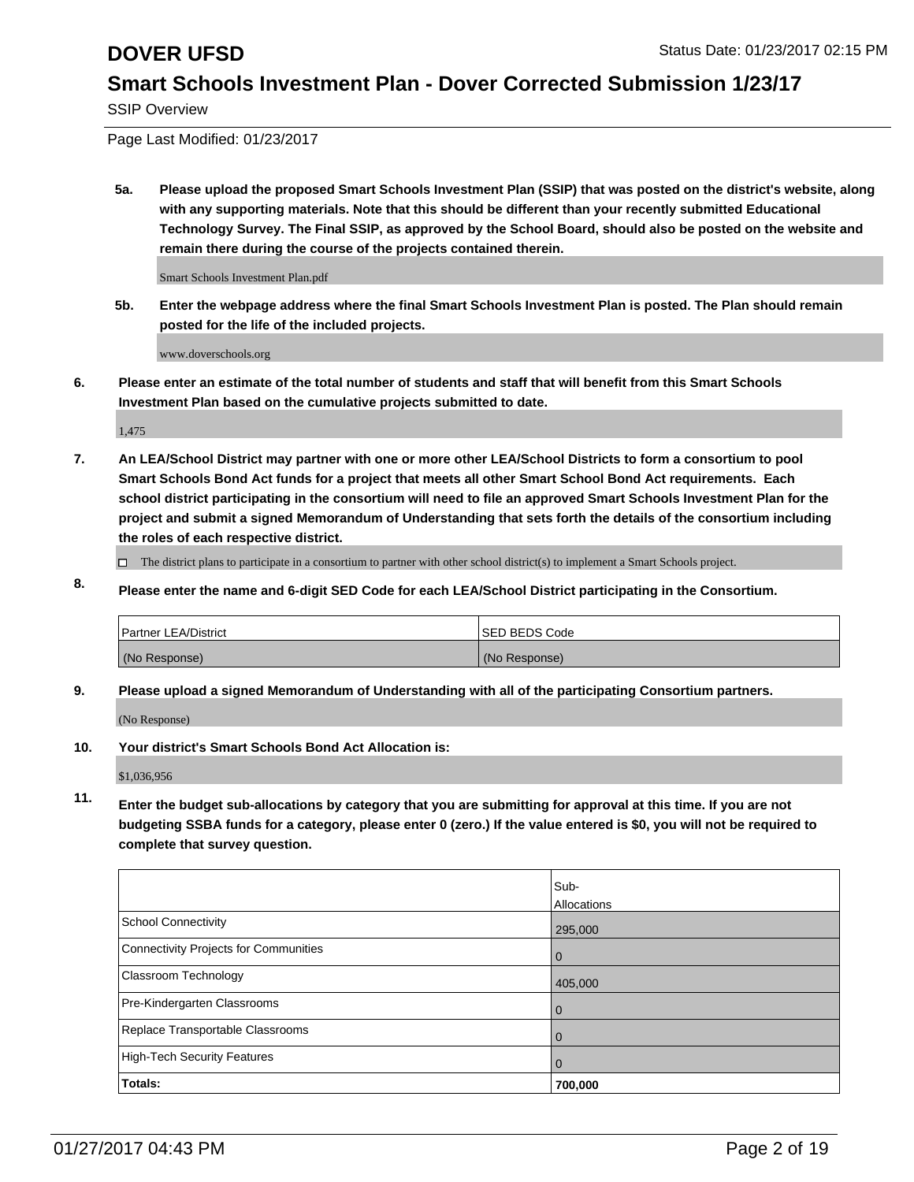SSIP Overview

Page Last Modified: 01/23/2017

**5a. Please upload the proposed Smart Schools Investment Plan (SSIP) that was posted on the district's website, along with any supporting materials. Note that this should be different than your recently submitted Educational Technology Survey. The Final SSIP, as approved by the School Board, should also be posted on the website and remain there during the course of the projects contained therein.**

Smart Schools Investment Plan.pdf

**5b. Enter the webpage address where the final Smart Schools Investment Plan is posted. The Plan should remain posted for the life of the included projects.**

www.doverschools.org

**6. Please enter an estimate of the total number of students and staff that will benefit from this Smart Schools Investment Plan based on the cumulative projects submitted to date.**

1,475

- **7. An LEA/School District may partner with one or more other LEA/School Districts to form a consortium to pool Smart Schools Bond Act funds for a project that meets all other Smart School Bond Act requirements. Each school district participating in the consortium will need to file an approved Smart Schools Investment Plan for the project and submit a signed Memorandum of Understanding that sets forth the details of the consortium including the roles of each respective district.**
	- $\Box$  The district plans to participate in a consortium to partner with other school district(s) to implement a Smart Schools project.
- **8. Please enter the name and 6-digit SED Code for each LEA/School District participating in the Consortium.**

| <b>Partner LEA/District</b> | <b>ISED BEDS Code</b> |
|-----------------------------|-----------------------|
| (No Response)               | (No Response)         |

**9. Please upload a signed Memorandum of Understanding with all of the participating Consortium partners.**

(No Response)

**10. Your district's Smart Schools Bond Act Allocation is:**

\$1,036,956

**11. Enter the budget sub-allocations by category that you are submitting for approval at this time. If you are not budgeting SSBA funds for a category, please enter 0 (zero.) If the value entered is \$0, you will not be required to complete that survey question.**

|                                       | Sub-        |
|---------------------------------------|-------------|
|                                       | Allocations |
| School Connectivity                   | 295,000     |
| Connectivity Projects for Communities | 0           |
| <b>Classroom Technology</b>           | 405,000     |
| Pre-Kindergarten Classrooms           | 0           |
| Replace Transportable Classrooms      |             |
| High-Tech Security Features           | O           |
| Totals:                               | 700,000     |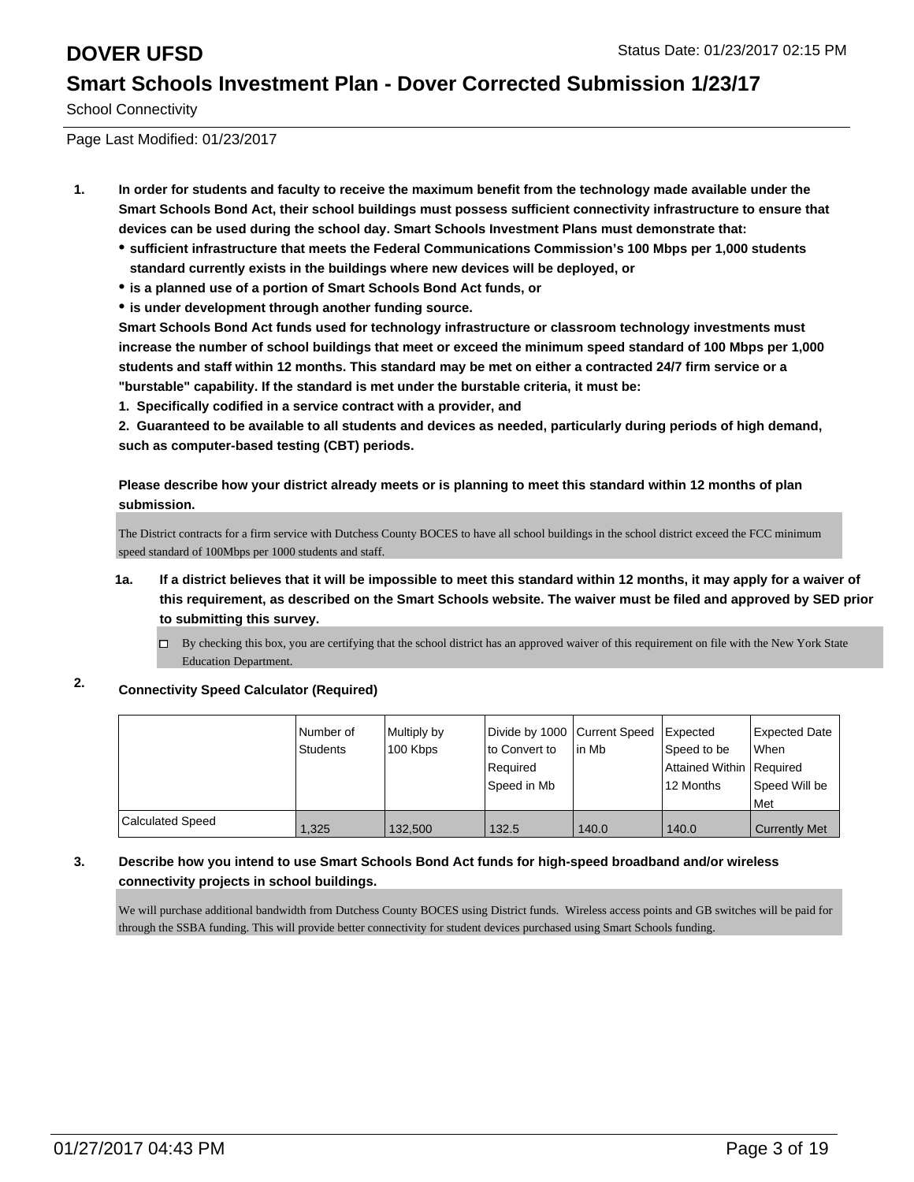School Connectivity

Page Last Modified: 01/23/2017

- **1. In order for students and faculty to receive the maximum benefit from the technology made available under the Smart Schools Bond Act, their school buildings must possess sufficient connectivity infrastructure to ensure that devices can be used during the school day. Smart Schools Investment Plans must demonstrate that:**
	- **sufficient infrastructure that meets the Federal Communications Commission's 100 Mbps per 1,000 students standard currently exists in the buildings where new devices will be deployed, or**
	- **is a planned use of a portion of Smart Schools Bond Act funds, or**
	- **is under development through another funding source.**

**Smart Schools Bond Act funds used for technology infrastructure or classroom technology investments must increase the number of school buildings that meet or exceed the minimum speed standard of 100 Mbps per 1,000 students and staff within 12 months. This standard may be met on either a contracted 24/7 firm service or a "burstable" capability. If the standard is met under the burstable criteria, it must be:**

**1. Specifically codified in a service contract with a provider, and**

**2. Guaranteed to be available to all students and devices as needed, particularly during periods of high demand, such as computer-based testing (CBT) periods.**

**Please describe how your district already meets or is planning to meet this standard within 12 months of plan submission.**

The District contracts for a firm service with Dutchess County BOCES to have all school buildings in the school district exceed the FCC minimum speed standard of 100Mbps per 1000 students and staff.

- **1a. If a district believes that it will be impossible to meet this standard within 12 months, it may apply for a waiver of this requirement, as described on the Smart Schools website. The waiver must be filed and approved by SED prior to submitting this survey.**
	- By checking this box, you are certifying that the school district has an approved waiver of this requirement on file with the New York State Education Department.

## **2. Connectivity Speed Calculator (Required)**

|                  | Number of       | Multiply by | Divide by 1000 Current Speed |        | Expected                 | <b>Expected Date</b> |
|------------------|-----------------|-------------|------------------------------|--------|--------------------------|----------------------|
|                  | <b>Students</b> | 100 Kbps    | to Convert to                | lin Mb | Speed to be              | <b>When</b>          |
|                  |                 |             | Required                     |        | Attained Within Required |                      |
|                  |                 |             | Speed in Mb                  |        | 12 Months                | Speed Will be        |
|                  |                 |             |                              |        |                          | l Met                |
| Calculated Speed | 1,325           | 132.500     | 132.5                        | 140.0  | 140.0                    | Currently Met        |

### **3. Describe how you intend to use Smart Schools Bond Act funds for high-speed broadband and/or wireless connectivity projects in school buildings.**

We will purchase additional bandwidth from Dutchess County BOCES using District funds. Wireless access points and GB switches will be paid for through the SSBA funding. This will provide better connectivity for student devices purchased using Smart Schools funding.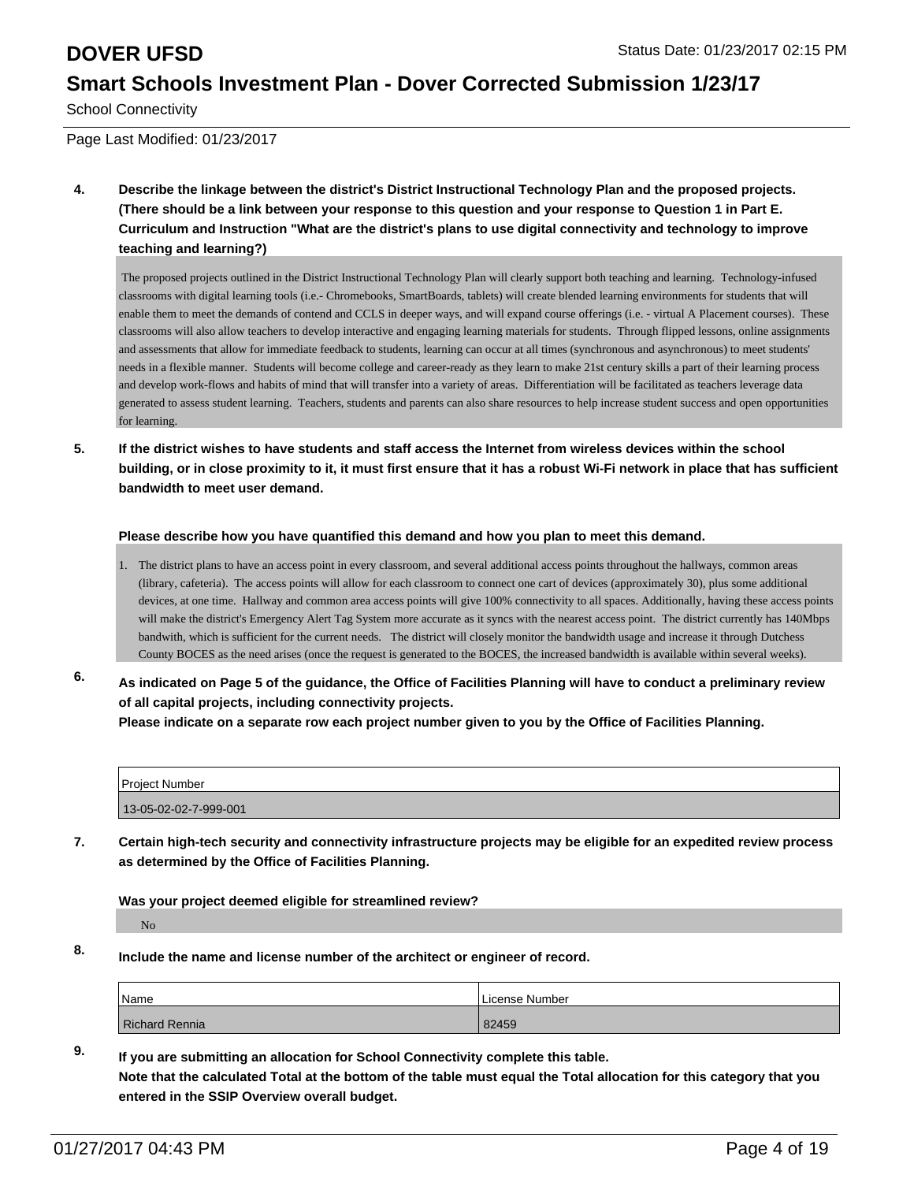School Connectivity

Page Last Modified: 01/23/2017

**4. Describe the linkage between the district's District Instructional Technology Plan and the proposed projects. (There should be a link between your response to this question and your response to Question 1 in Part E. Curriculum and Instruction "What are the district's plans to use digital connectivity and technology to improve teaching and learning?)**

 The proposed projects outlined in the District Instructional Technology Plan will clearly support both teaching and learning. Technology-infused classrooms with digital learning tools (i.e.- Chromebooks, SmartBoards, tablets) will create blended learning environments for students that will enable them to meet the demands of contend and CCLS in deeper ways, and will expand course offerings (i.e. - virtual A Placement courses). These classrooms will also allow teachers to develop interactive and engaging learning materials for students. Through flipped lessons, online assignments and assessments that allow for immediate feedback to students, learning can occur at all times (synchronous and asynchronous) to meet students' needs in a flexible manner. Students will become college and career-ready as they learn to make 21st century skills a part of their learning process and develop work-flows and habits of mind that will transfer into a variety of areas. Differentiation will be facilitated as teachers leverage data generated to assess student learning. Teachers, students and parents can also share resources to help increase student success and open opportunities for learning.

**5. If the district wishes to have students and staff access the Internet from wireless devices within the school building, or in close proximity to it, it must first ensure that it has a robust Wi-Fi network in place that has sufficient bandwidth to meet user demand.**

### **Please describe how you have quantified this demand and how you plan to meet this demand.**

- 1. The district plans to have an access point in every classroom, and several additional access points throughout the hallways, common areas (library, cafeteria). The access points will allow for each classroom to connect one cart of devices (approximately 30), plus some additional devices, at one time. Hallway and common area access points will give 100% connectivity to all spaces. Additionally, having these access points will make the district's Emergency Alert Tag System more accurate as it syncs with the nearest access point. The district currently has 140Mbps bandwith, which is sufficient for the current needs. The district will closely monitor the bandwidth usage and increase it through Dutchess County BOCES as the need arises (once the request is generated to the BOCES, the increased bandwidth is available within several weeks).
- **6. As indicated on Page 5 of the guidance, the Office of Facilities Planning will have to conduct a preliminary review of all capital projects, including connectivity projects. Please indicate on a separate row each project number given to you by the Office of Facilities Planning.**

| Project Number        |  |
|-----------------------|--|
| 13-05-02-02-7-999-001 |  |

**7. Certain high-tech security and connectivity infrastructure projects may be eligible for an expedited review process as determined by the Office of Facilities Planning.**

**Was your project deemed eligible for streamlined review?**

No

**8. Include the name and license number of the architect or engineer of record.**

| <sup>I</sup> Name | License Number |
|-------------------|----------------|
| Richard Rennia    | 82459          |

**9. If you are submitting an allocation for School Connectivity complete this table. Note that the calculated Total at the bottom of the table must equal the Total allocation for this category that you entered in the SSIP Overview overall budget.**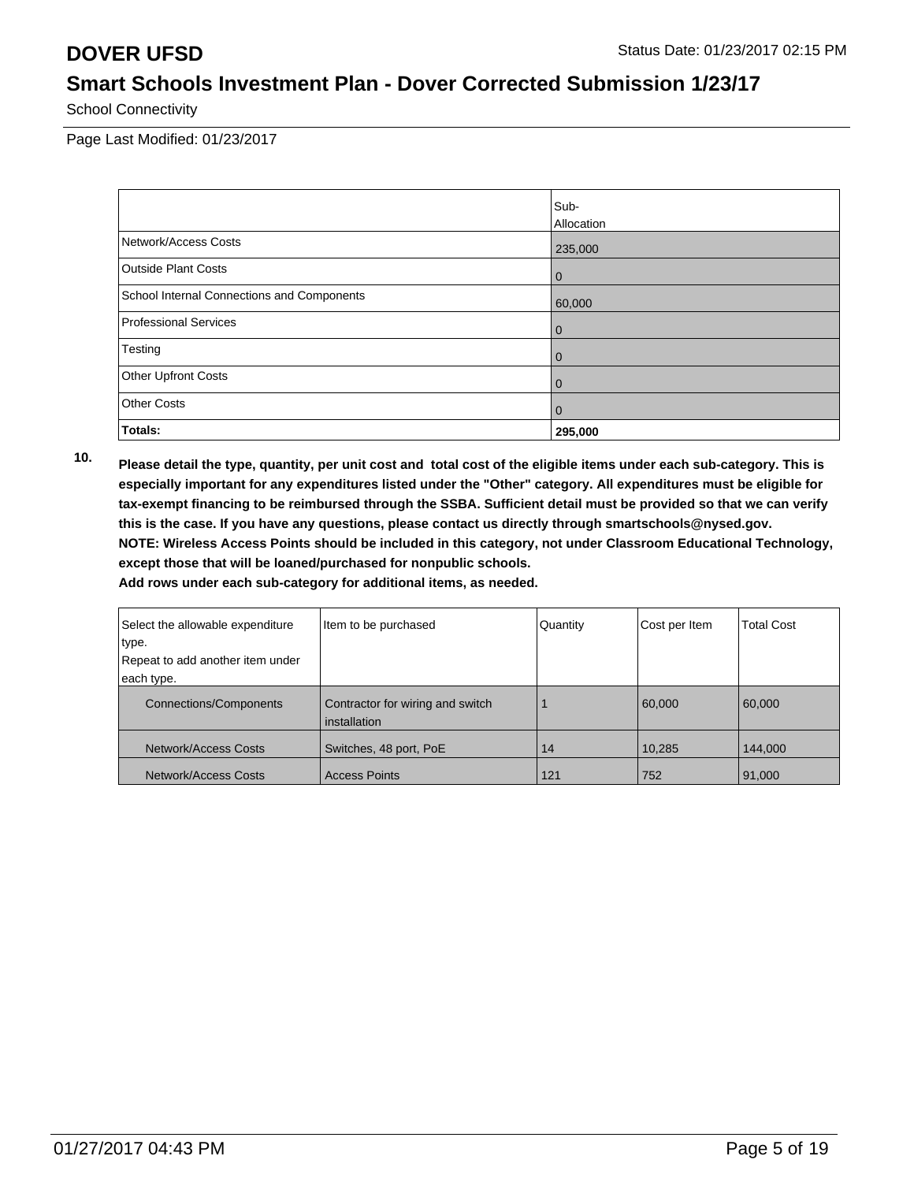School Connectivity

Page Last Modified: 01/23/2017

|                                            | Sub-           |
|--------------------------------------------|----------------|
|                                            | Allocation     |
| Network/Access Costs                       | 235,000        |
| Outside Plant Costs                        | 0              |
| School Internal Connections and Components | 60,000         |
| Professional Services                      | 0              |
| Testing                                    | 0              |
| Other Upfront Costs                        | 0              |
| <b>Other Costs</b>                         | $\overline{0}$ |
| Totals:                                    | 295,000        |

**10. Please detail the type, quantity, per unit cost and total cost of the eligible items under each sub-category. This is especially important for any expenditures listed under the "Other" category. All expenditures must be eligible for tax-exempt financing to be reimbursed through the SSBA. Sufficient detail must be provided so that we can verify this is the case. If you have any questions, please contact us directly through smartschools@nysed.gov. NOTE: Wireless Access Points should be included in this category, not under Classroom Educational Technology, except those that will be loaned/purchased for nonpublic schools.**

| Select the allowable expenditure | Item to be purchased                             | Quantity | Cost per Item | <b>Total Cost</b> |
|----------------------------------|--------------------------------------------------|----------|---------------|-------------------|
| ∣type.                           |                                                  |          |               |                   |
| Repeat to add another item under |                                                  |          |               |                   |
| each type.                       |                                                  |          |               |                   |
| <b>Connections/Components</b>    | Contractor for wiring and switch<br>installation |          | 60,000        | 60,000            |
| Network/Access Costs             | Switches, 48 port, PoE                           | 14       | 10,285        | 144,000           |
| Network/Access Costs             | <b>Access Points</b>                             | 121      | 752           | 91,000            |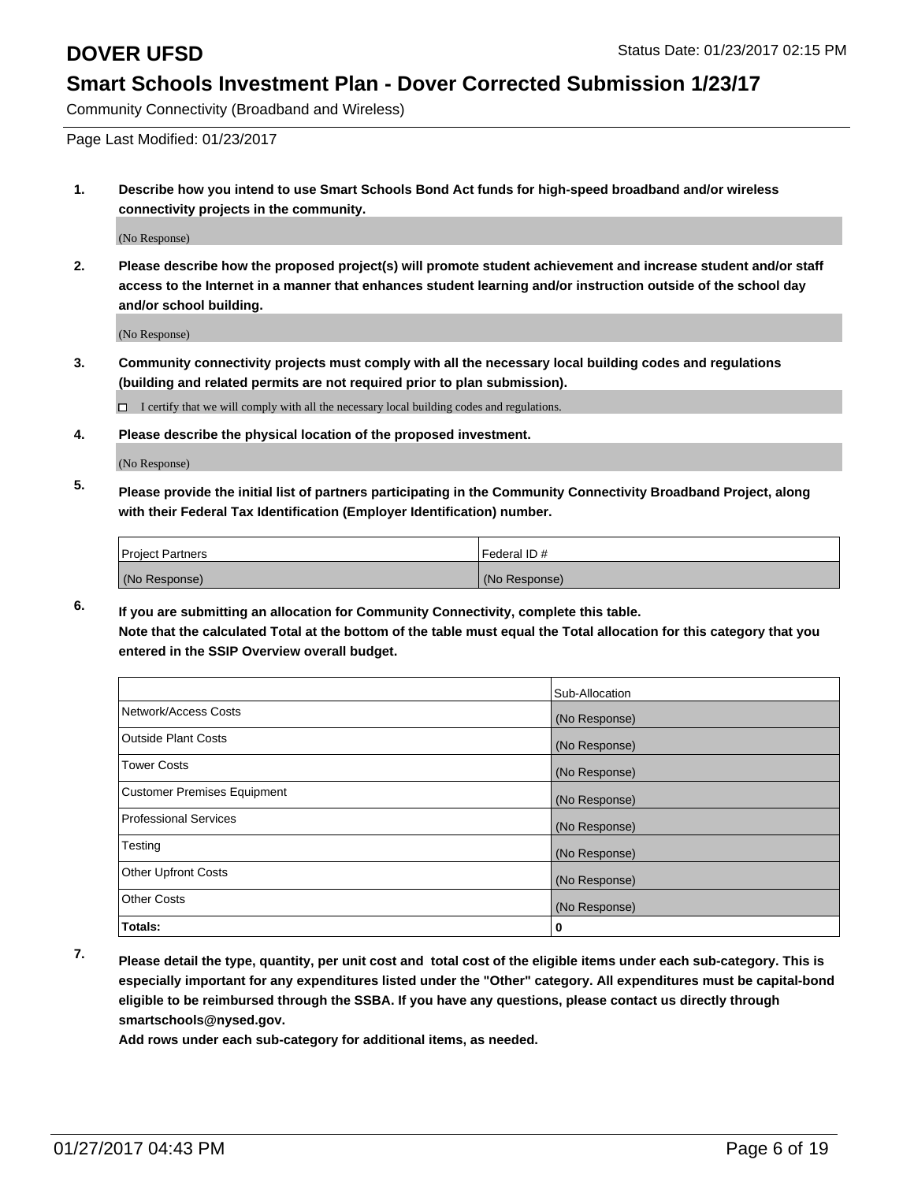Community Connectivity (Broadband and Wireless)

Page Last Modified: 01/23/2017

**1. Describe how you intend to use Smart Schools Bond Act funds for high-speed broadband and/or wireless connectivity projects in the community.**

(No Response)

**2. Please describe how the proposed project(s) will promote student achievement and increase student and/or staff access to the Internet in a manner that enhances student learning and/or instruction outside of the school day and/or school building.**

(No Response)

**3. Community connectivity projects must comply with all the necessary local building codes and regulations (building and related permits are not required prior to plan submission).**

 $\Box$  I certify that we will comply with all the necessary local building codes and regulations.

**4. Please describe the physical location of the proposed investment.**

(No Response)

**5. Please provide the initial list of partners participating in the Community Connectivity Broadband Project, along with their Federal Tax Identification (Employer Identification) number.**

| <b>Project Partners</b> | l Federal ID # |
|-------------------------|----------------|
| (No Response)           | (No Response)  |

**6. If you are submitting an allocation for Community Connectivity, complete this table. Note that the calculated Total at the bottom of the table must equal the Total allocation for this category that you entered in the SSIP Overview overall budget.**

|                                    | Sub-Allocation |
|------------------------------------|----------------|
|                                    |                |
| Network/Access Costs               | (No Response)  |
| <b>Outside Plant Costs</b>         | (No Response)  |
| <b>Tower Costs</b>                 | (No Response)  |
| <b>Customer Premises Equipment</b> | (No Response)  |
| <b>Professional Services</b>       | (No Response)  |
| Testing                            | (No Response)  |
| <b>Other Upfront Costs</b>         | (No Response)  |
| <b>Other Costs</b>                 | (No Response)  |
| Totals:                            | 0              |

**7. Please detail the type, quantity, per unit cost and total cost of the eligible items under each sub-category. This is especially important for any expenditures listed under the "Other" category. All expenditures must be capital-bond eligible to be reimbursed through the SSBA. If you have any questions, please contact us directly through smartschools@nysed.gov.**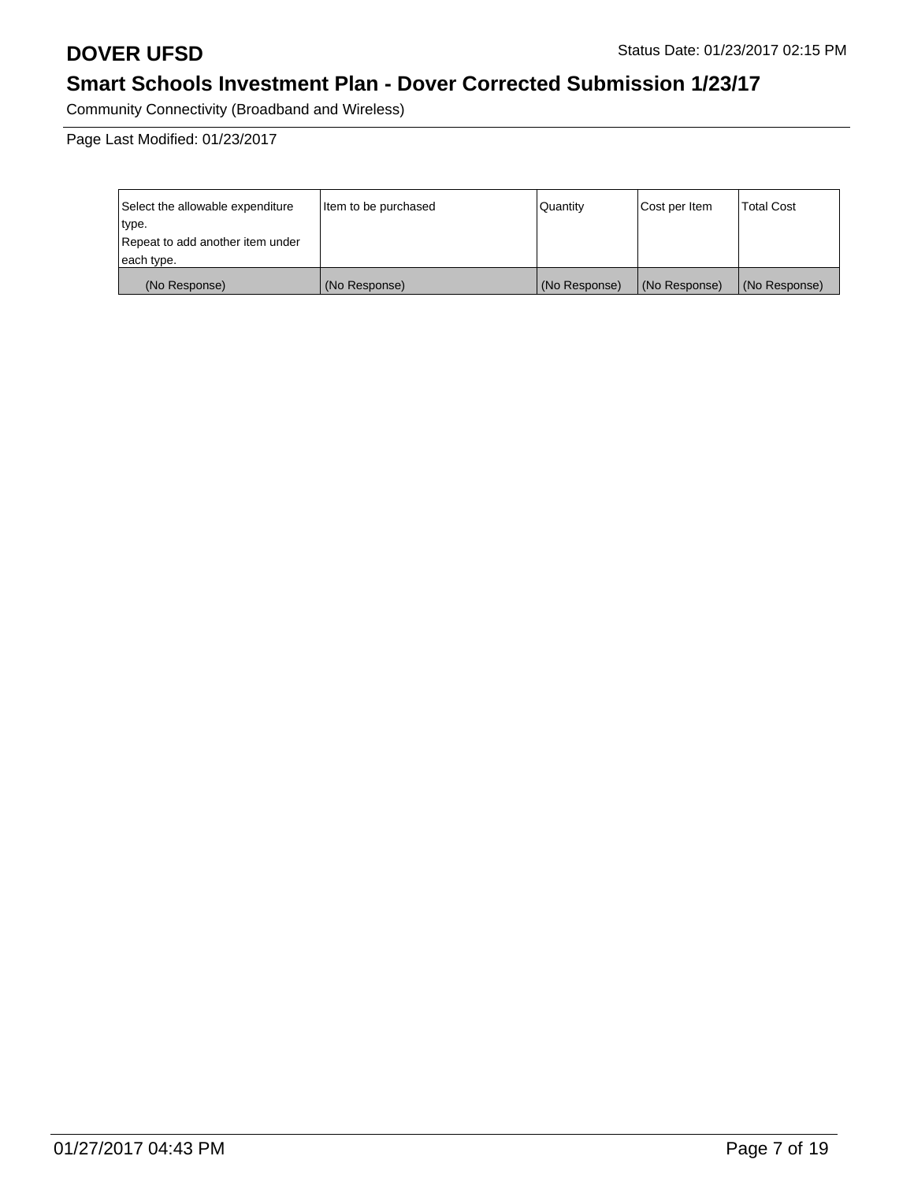Community Connectivity (Broadband and Wireless)

| Select the allowable expenditure | litem to be purchased | Quantity      | Cost per Item | <b>Total Cost</b> |
|----------------------------------|-----------------------|---------------|---------------|-------------------|
| type.                            |                       |               |               |                   |
| Repeat to add another item under |                       |               |               |                   |
| each type.                       |                       |               |               |                   |
| (No Response)                    | (No Response)         | (No Response) | (No Response) | (No Response)     |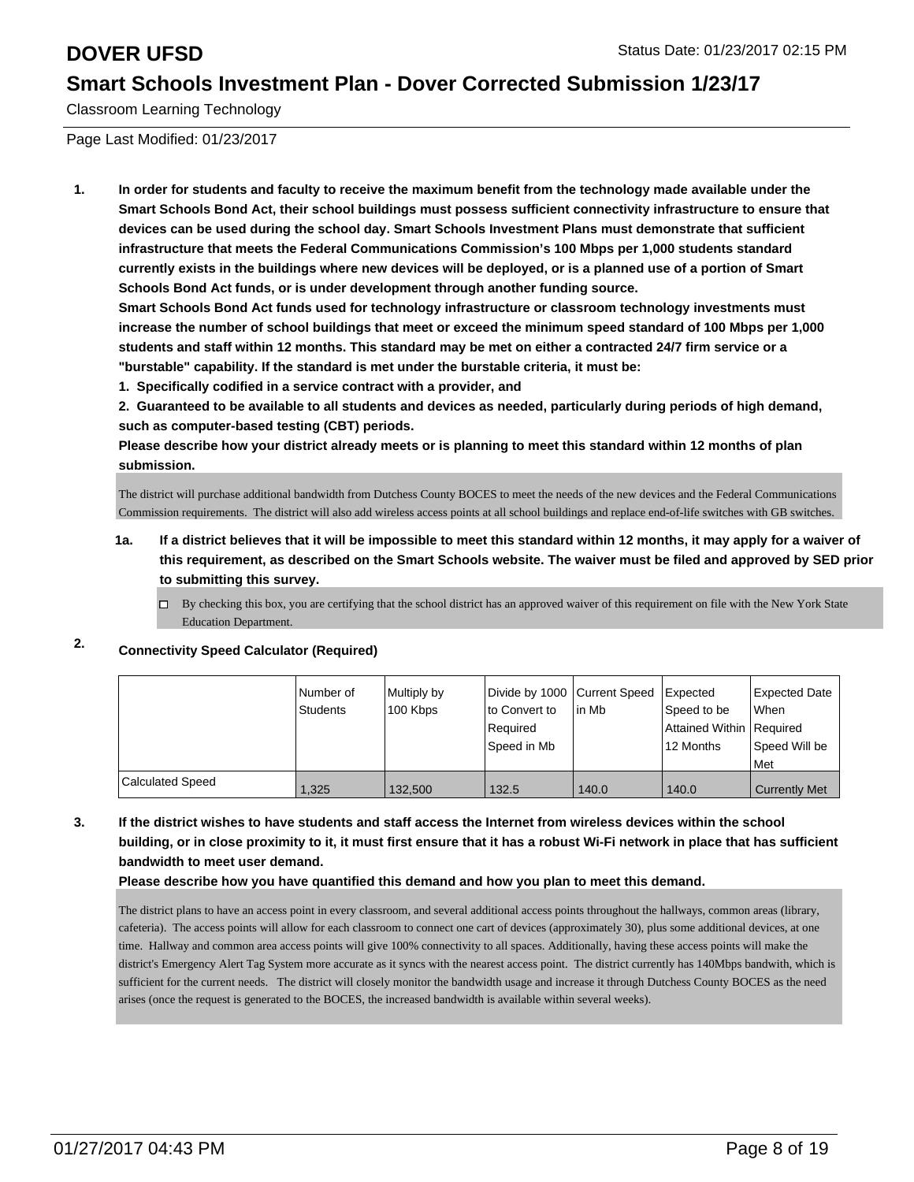Classroom Learning Technology

Page Last Modified: 01/23/2017

**1. In order for students and faculty to receive the maximum benefit from the technology made available under the Smart Schools Bond Act, their school buildings must possess sufficient connectivity infrastructure to ensure that devices can be used during the school day. Smart Schools Investment Plans must demonstrate that sufficient infrastructure that meets the Federal Communications Commission's 100 Mbps per 1,000 students standard currently exists in the buildings where new devices will be deployed, or is a planned use of a portion of Smart Schools Bond Act funds, or is under development through another funding source.**

**Smart Schools Bond Act funds used for technology infrastructure or classroom technology investments must increase the number of school buildings that meet or exceed the minimum speed standard of 100 Mbps per 1,000 students and staff within 12 months. This standard may be met on either a contracted 24/7 firm service or a "burstable" capability. If the standard is met under the burstable criteria, it must be:**

**1. Specifically codified in a service contract with a provider, and**

**2. Guaranteed to be available to all students and devices as needed, particularly during periods of high demand, such as computer-based testing (CBT) periods.**

**Please describe how your district already meets or is planning to meet this standard within 12 months of plan submission.**

The district will purchase additional bandwidth from Dutchess County BOCES to meet the needs of the new devices and the Federal Communications Commission requirements. The district will also add wireless access points at all school buildings and replace end-of-life switches with GB switches.

- **1a. If a district believes that it will be impossible to meet this standard within 12 months, it may apply for a waiver of this requirement, as described on the Smart Schools website. The waiver must be filed and approved by SED prior to submitting this survey.**
	- $\Box$  By checking this box, you are certifying that the school district has an approved waiver of this requirement on file with the New York State Education Department.

### **2. Connectivity Speed Calculator (Required)**

|                         | Number of<br>Students | Multiply by<br>100 Kbps | Divide by 1000 Current Speed<br>lto Convert to<br>Required<br>Speed in Mb | l in Mb | <b>Expected</b><br>Speed to be<br>Attained Within   Required<br>12 Months | Expected Date<br>l When<br>Speed Will be<br>l Met |
|-------------------------|-----------------------|-------------------------|---------------------------------------------------------------------------|---------|---------------------------------------------------------------------------|---------------------------------------------------|
| <b>Calculated Speed</b> | 1,325                 | 132.500                 | 132.5                                                                     | 140.0   | 140.0                                                                     | <b>Currently Met</b>                              |

**3. If the district wishes to have students and staff access the Internet from wireless devices within the school building, or in close proximity to it, it must first ensure that it has a robust Wi-Fi network in place that has sufficient bandwidth to meet user demand.**

### **Please describe how you have quantified this demand and how you plan to meet this demand.**

The district plans to have an access point in every classroom, and several additional access points throughout the hallways, common areas (library, cafeteria). The access points will allow for each classroom to connect one cart of devices (approximately 30), plus some additional devices, at one time. Hallway and common area access points will give 100% connectivity to all spaces. Additionally, having these access points will make the district's Emergency Alert Tag System more accurate as it syncs with the nearest access point. The district currently has 140Mbps bandwith, which is sufficient for the current needs. The district will closely monitor the bandwidth usage and increase it through Dutchess County BOCES as the need arises (once the request is generated to the BOCES, the increased bandwidth is available within several weeks).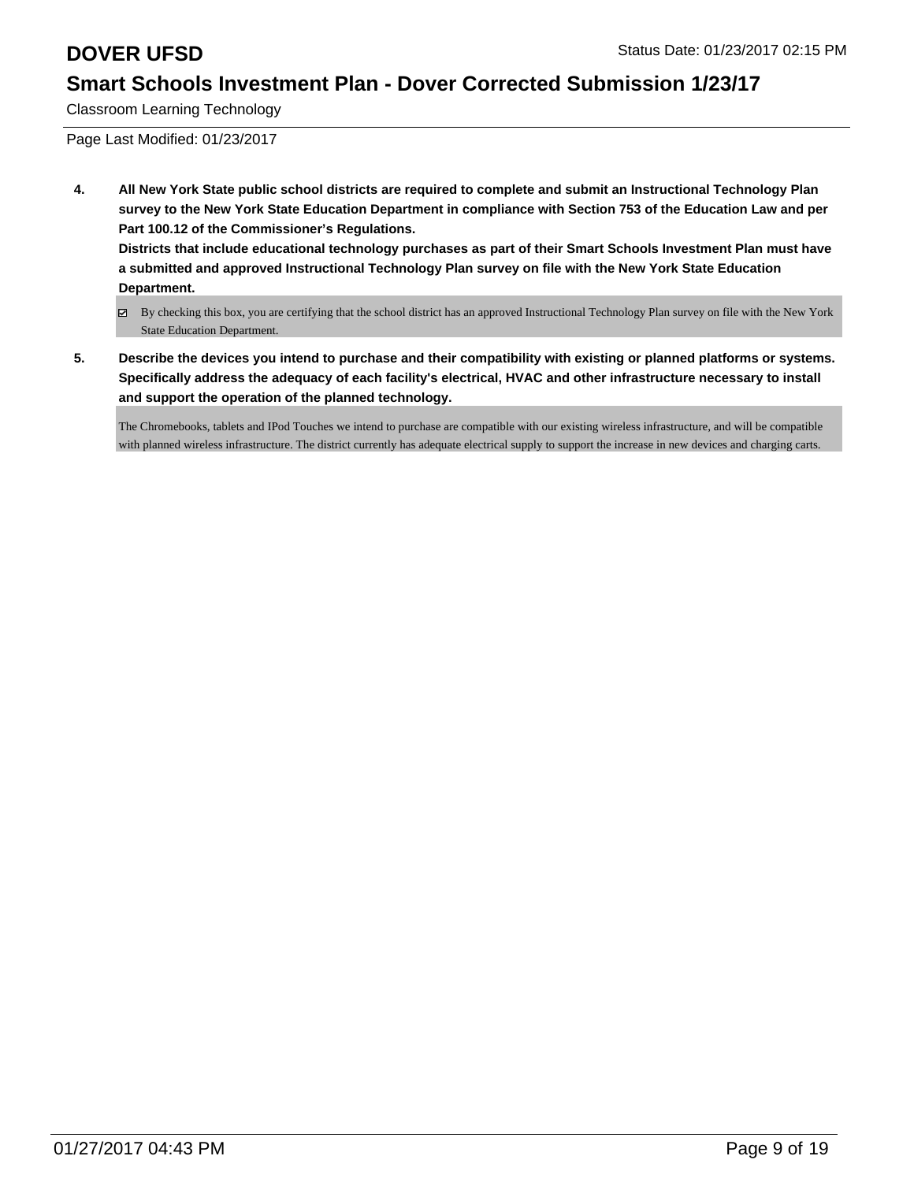Classroom Learning Technology

Page Last Modified: 01/23/2017

**4. All New York State public school districts are required to complete and submit an Instructional Technology Plan survey to the New York State Education Department in compliance with Section 753 of the Education Law and per Part 100.12 of the Commissioner's Regulations. Districts that include educational technology purchases as part of their Smart Schools Investment Plan must have**

**a submitted and approved Instructional Technology Plan survey on file with the New York State Education Department.**

- By checking this box, you are certifying that the school district has an approved Instructional Technology Plan survey on file with the New York State Education Department.
- **5. Describe the devices you intend to purchase and their compatibility with existing or planned platforms or systems. Specifically address the adequacy of each facility's electrical, HVAC and other infrastructure necessary to install and support the operation of the planned technology.**

The Chromebooks, tablets and IPod Touches we intend to purchase are compatible with our existing wireless infrastructure, and will be compatible with planned wireless infrastructure. The district currently has adequate electrical supply to support the increase in new devices and charging carts.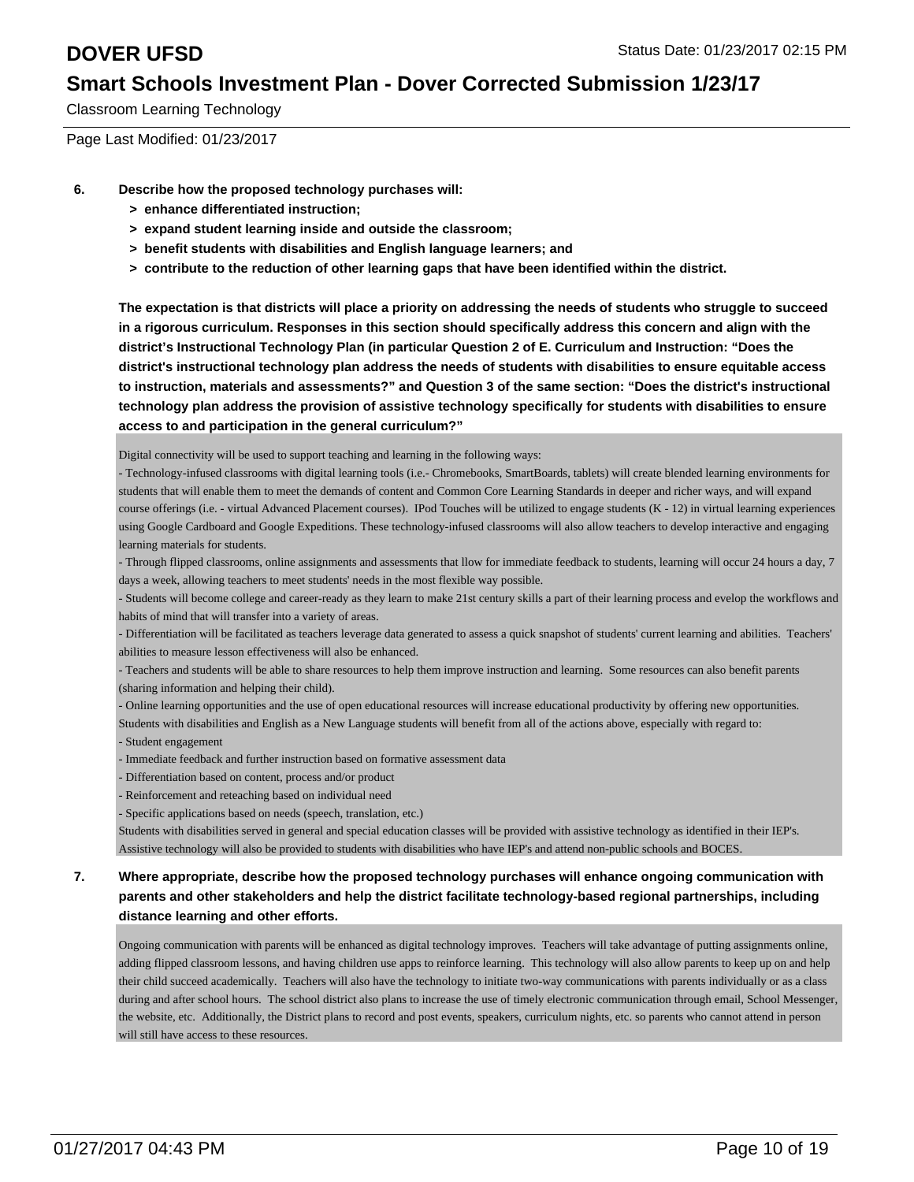Classroom Learning Technology

Page Last Modified: 01/23/2017

- **6. Describe how the proposed technology purchases will:**
	- **> enhance differentiated instruction;**
	- **> expand student learning inside and outside the classroom;**
	- **> benefit students with disabilities and English language learners; and**
	- **> contribute to the reduction of other learning gaps that have been identified within the district.**

**The expectation is that districts will place a priority on addressing the needs of students who struggle to succeed in a rigorous curriculum. Responses in this section should specifically address this concern and align with the district's Instructional Technology Plan (in particular Question 2 of E. Curriculum and Instruction: "Does the district's instructional technology plan address the needs of students with disabilities to ensure equitable access to instruction, materials and assessments?" and Question 3 of the same section: "Does the district's instructional technology plan address the provision of assistive technology specifically for students with disabilities to ensure access to and participation in the general curriculum?"**

Digital connectivity will be used to support teaching and learning in the following ways:

- Technology-infused classrooms with digital learning tools (i.e.- Chromebooks, SmartBoards, tablets) will create blended learning environments for students that will enable them to meet the demands of content and Common Core Learning Standards in deeper and richer ways, and will expand course offerings (i.e. - virtual Advanced Placement courses). IPod Touches will be utilized to engage students (K - 12) in virtual learning experiences using Google Cardboard and Google Expeditions. These technology-infused classrooms will also allow teachers to develop interactive and engaging learning materials for students.

- Through flipped classrooms, online assignments and assessments that llow for immediate feedback to students, learning will occur 24 hours a day, 7 days a week, allowing teachers to meet students' needs in the most flexible way possible.

- Students will become college and career-ready as they learn to make 21st century skills a part of their learning process and evelop the workflows and habits of mind that will transfer into a variety of areas.

- Differentiation will be facilitated as teachers leverage data generated to assess a quick snapshot of students' current learning and abilities. Teachers' abilities to measure lesson effectiveness will also be enhanced.

- Teachers and students will be able to share resources to help them improve instruction and learning. Some resources can also benefit parents (sharing information and helping their child).

- Online learning opportunities and the use of open educational resources will increase educational productivity by offering new opportunities. Students with disabilities and English as a New Language students will benefit from all of the actions above, especially with regard to: - Student engagement

- Immediate feedback and further instruction based on formative assessment data
- Differentiation based on content, process and/or product
- Reinforcement and reteaching based on individual need

- Specific applications based on needs (speech, translation, etc.)

Students with disabilities served in general and special education classes will be provided with assistive technology as identified in their IEP's. Assistive technology will also be provided to students with disabilities who have IEP's and attend non-public schools and BOCES.

### **7. Where appropriate, describe how the proposed technology purchases will enhance ongoing communication with parents and other stakeholders and help the district facilitate technology-based regional partnerships, including distance learning and other efforts.**

Ongoing communication with parents will be enhanced as digital technology improves. Teachers will take advantage of putting assignments online, adding flipped classroom lessons, and having children use apps to reinforce learning. This technology will also allow parents to keep up on and help their child succeed academically. Teachers will also have the technology to initiate two-way communications with parents individually or as a class during and after school hours. The school district also plans to increase the use of timely electronic communication through email, School Messenger, the website, etc. Additionally, the District plans to record and post events, speakers, curriculum nights, etc. so parents who cannot attend in person will still have access to these resources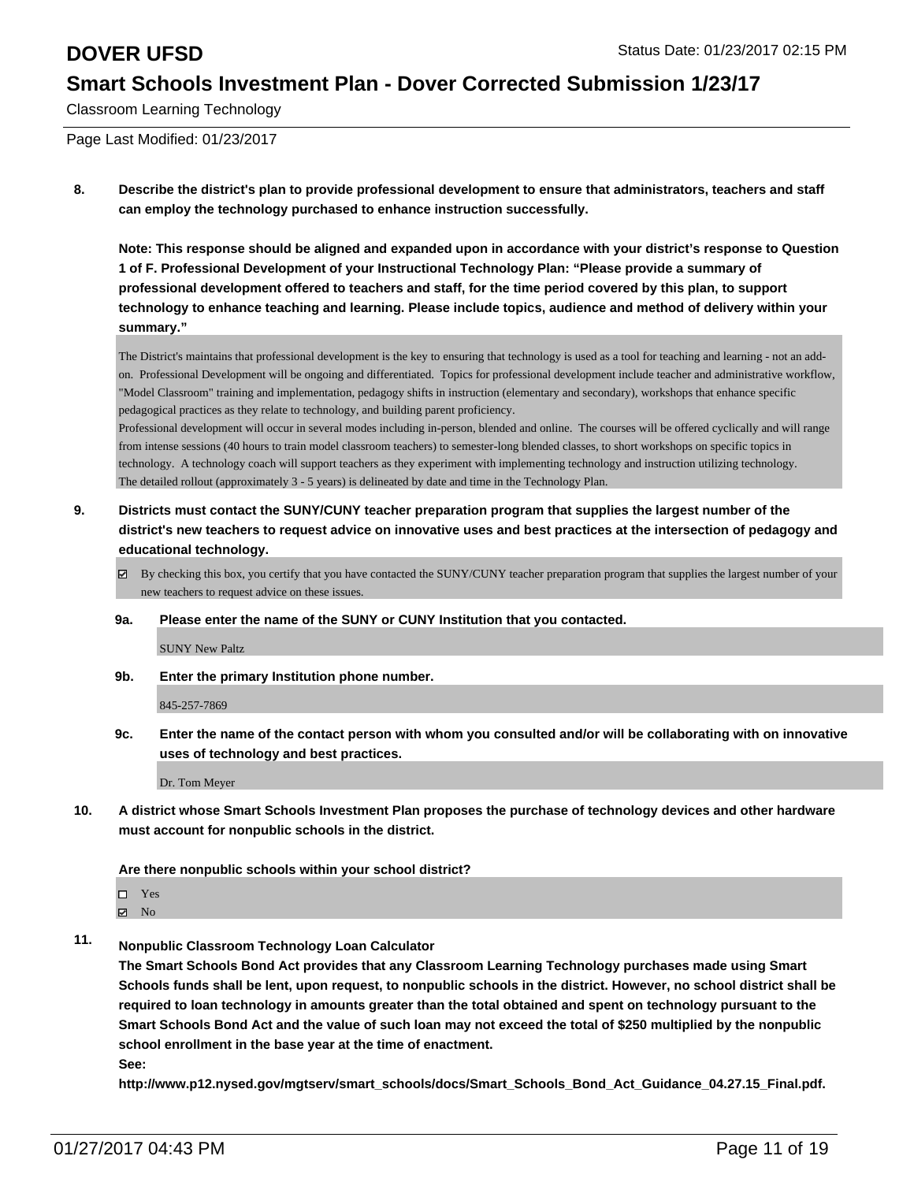Classroom Learning Technology

Page Last Modified: 01/23/2017

**8. Describe the district's plan to provide professional development to ensure that administrators, teachers and staff can employ the technology purchased to enhance instruction successfully.**

**Note: This response should be aligned and expanded upon in accordance with your district's response to Question 1 of F. Professional Development of your Instructional Technology Plan: "Please provide a summary of professional development offered to teachers and staff, for the time period covered by this plan, to support technology to enhance teaching and learning. Please include topics, audience and method of delivery within your summary."**

The District's maintains that professional development is the key to ensuring that technology is used as a tool for teaching and learning - not an addon. Professional Development will be ongoing and differentiated. Topics for professional development include teacher and administrative workflow, "Model Classroom" training and implementation, pedagogy shifts in instruction (elementary and secondary), workshops that enhance specific pedagogical practices as they relate to technology, and building parent proficiency.

Professional development will occur in several modes including in-person, blended and online. The courses will be offered cyclically and will range from intense sessions (40 hours to train model classroom teachers) to semester-long blended classes, to short workshops on specific topics in technology. A technology coach will support teachers as they experiment with implementing technology and instruction utilizing technology. The detailed rollout (approximately 3 - 5 years) is delineated by date and time in the Technology Plan.

- **9. Districts must contact the SUNY/CUNY teacher preparation program that supplies the largest number of the district's new teachers to request advice on innovative uses and best practices at the intersection of pedagogy and educational technology.**
	- $\boxtimes$  By checking this box, you certify that you have contacted the SUNY/CUNY teacher preparation program that supplies the largest number of your new teachers to request advice on these issues.
	- **9a. Please enter the name of the SUNY or CUNY Institution that you contacted.**

SUNY New Paltz

**9b. Enter the primary Institution phone number.**

845-257-7869

**9c. Enter the name of the contact person with whom you consulted and/or will be collaborating with on innovative uses of technology and best practices.**

Dr. Tom Meyer

**10. A district whose Smart Schools Investment Plan proposes the purchase of technology devices and other hardware must account for nonpublic schools in the district.**

**Are there nonpublic schools within your school district?**

Yes

 $\boxtimes$  No

**11. Nonpublic Classroom Technology Loan Calculator**

**The Smart Schools Bond Act provides that any Classroom Learning Technology purchases made using Smart Schools funds shall be lent, upon request, to nonpublic schools in the district. However, no school district shall be required to loan technology in amounts greater than the total obtained and spent on technology pursuant to the Smart Schools Bond Act and the value of such loan may not exceed the total of \$250 multiplied by the nonpublic school enrollment in the base year at the time of enactment.**

**See:**

**http://www.p12.nysed.gov/mgtserv/smart\_schools/docs/Smart\_Schools\_Bond\_Act\_Guidance\_04.27.15\_Final.pdf.**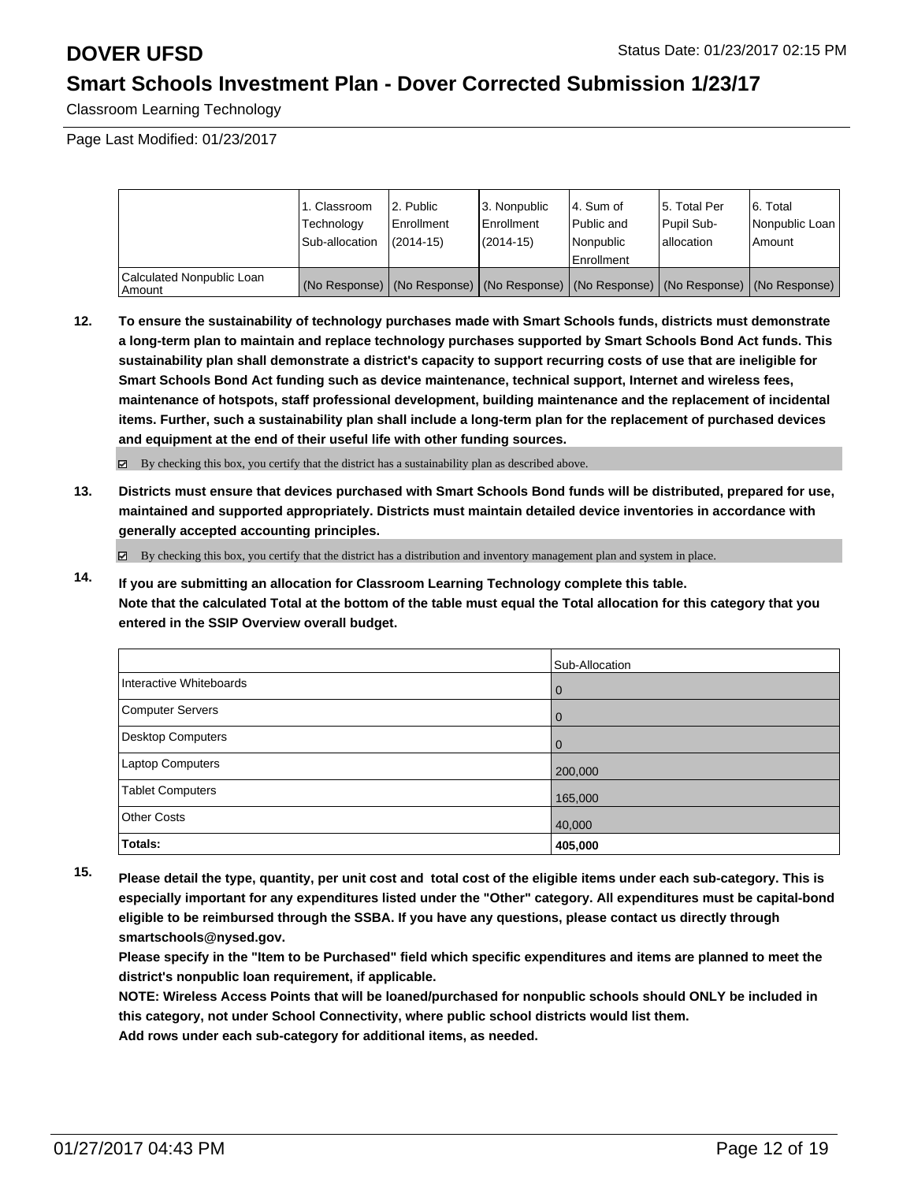Classroom Learning Technology

Page Last Modified: 01/23/2017

|                                     | 1. Classroom<br>Technology<br>Sub-allocation | 2. Public<br>Enrollment<br>$(2014 - 15)$ | 13. Nonpublic<br>l Enrollment<br>$(2014 - 15)$ | l 4. Sum of<br>Public and<br>l Nonpublic | 15. Total Per<br>Pupil Sub-<br>lallocation | 6. Total<br>Nonpublic Loan  <br>Amount                                                        |
|-------------------------------------|----------------------------------------------|------------------------------------------|------------------------------------------------|------------------------------------------|--------------------------------------------|-----------------------------------------------------------------------------------------------|
|                                     |                                              |                                          |                                                | Enrollment                               |                                            |                                                                                               |
| Calculated Nonpublic Loan<br>Amount |                                              |                                          |                                                |                                          |                                            | (No Response)   (No Response)   (No Response)   (No Response)   (No Response)   (No Response) |

**12. To ensure the sustainability of technology purchases made with Smart Schools funds, districts must demonstrate a long-term plan to maintain and replace technology purchases supported by Smart Schools Bond Act funds. This sustainability plan shall demonstrate a district's capacity to support recurring costs of use that are ineligible for Smart Schools Bond Act funding such as device maintenance, technical support, Internet and wireless fees, maintenance of hotspots, staff professional development, building maintenance and the replacement of incidental items. Further, such a sustainability plan shall include a long-term plan for the replacement of purchased devices and equipment at the end of their useful life with other funding sources.**

By checking this box, you certify that the district has a sustainability plan as described above.

**13. Districts must ensure that devices purchased with Smart Schools Bond funds will be distributed, prepared for use, maintained and supported appropriately. Districts must maintain detailed device inventories in accordance with generally accepted accounting principles.**

 $\boxtimes$  By checking this box, you certify that the district has a distribution and inventory management plan and system in place.

**14. If you are submitting an allocation for Classroom Learning Technology complete this table. Note that the calculated Total at the bottom of the table must equal the Total allocation for this category that you entered in the SSIP Overview overall budget.**

|                         | Sub-Allocation |
|-------------------------|----------------|
| Interactive Whiteboards | l 0            |
| Computer Servers        | l 0            |
| Desktop Computers       | l 0            |
| Laptop Computers        | 200,000        |
| <b>Tablet Computers</b> | 165,000        |
| <b>Other Costs</b>      | 40,000         |
| Totals:                 | 405,000        |

**15. Please detail the type, quantity, per unit cost and total cost of the eligible items under each sub-category. This is especially important for any expenditures listed under the "Other" category. All expenditures must be capital-bond eligible to be reimbursed through the SSBA. If you have any questions, please contact us directly through smartschools@nysed.gov.**

**Please specify in the "Item to be Purchased" field which specific expenditures and items are planned to meet the district's nonpublic loan requirement, if applicable.**

**NOTE: Wireless Access Points that will be loaned/purchased for nonpublic schools should ONLY be included in this category, not under School Connectivity, where public school districts would list them.**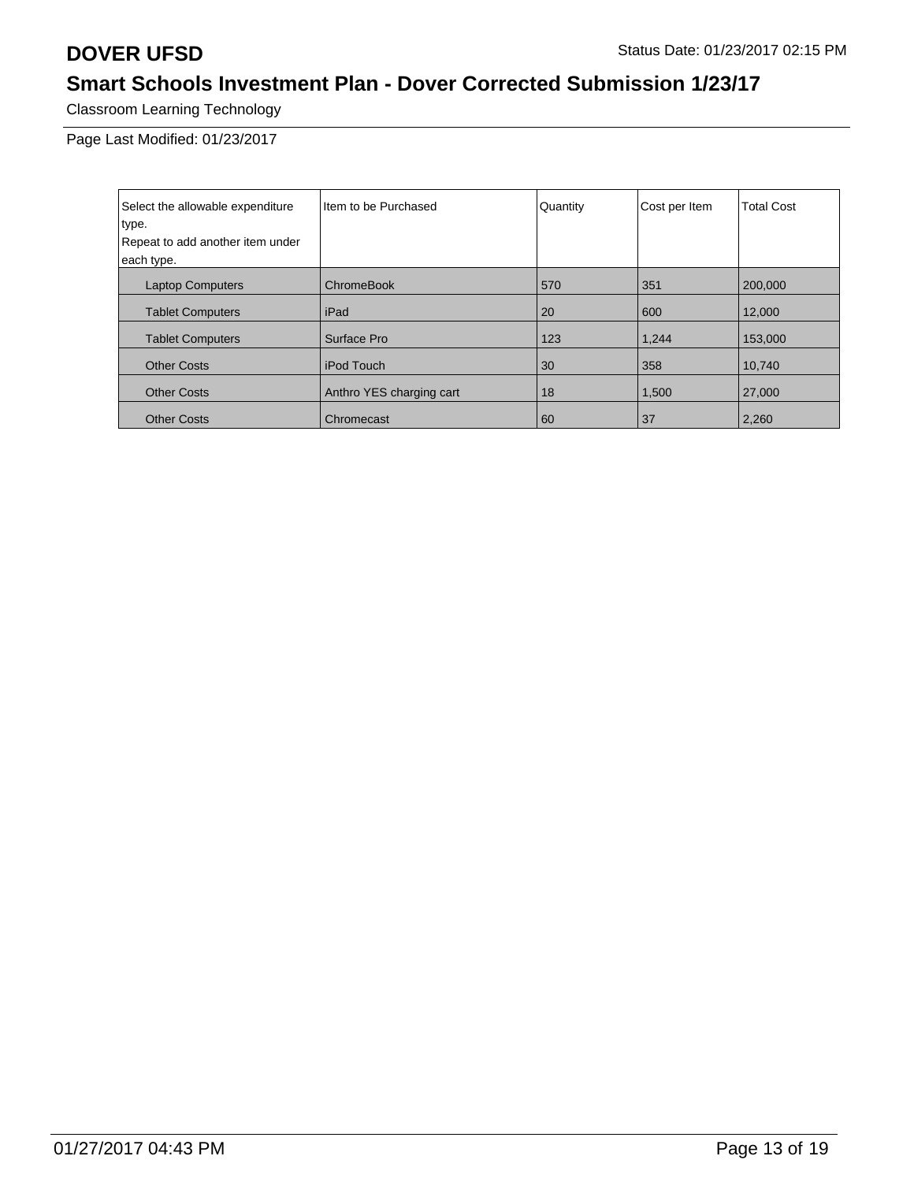Classroom Learning Technology

| Select the allowable expenditure | I Item to be Purchased   | Quantity | Cost per Item | <b>Total Cost</b> |
|----------------------------------|--------------------------|----------|---------------|-------------------|
| type.                            |                          |          |               |                   |
| Repeat to add another item under |                          |          |               |                   |
| each type.                       |                          |          |               |                   |
| <b>Laptop Computers</b>          | <b>ChromeBook</b>        | 570      | 351           | 200,000           |
| <b>Tablet Computers</b>          | iPad                     | 20       | 600           | 12,000            |
| <b>Tablet Computers</b>          | Surface Pro              | 123      | 1,244         | 153,000           |
| <b>Other Costs</b>               | iPod Touch               | 30       | 358           | 10.740            |
| <b>Other Costs</b>               | Anthro YES charging cart | 18       | 1,500         | 27,000            |
| <b>Other Costs</b>               | Chromecast               | 60       | 37            | 2,260             |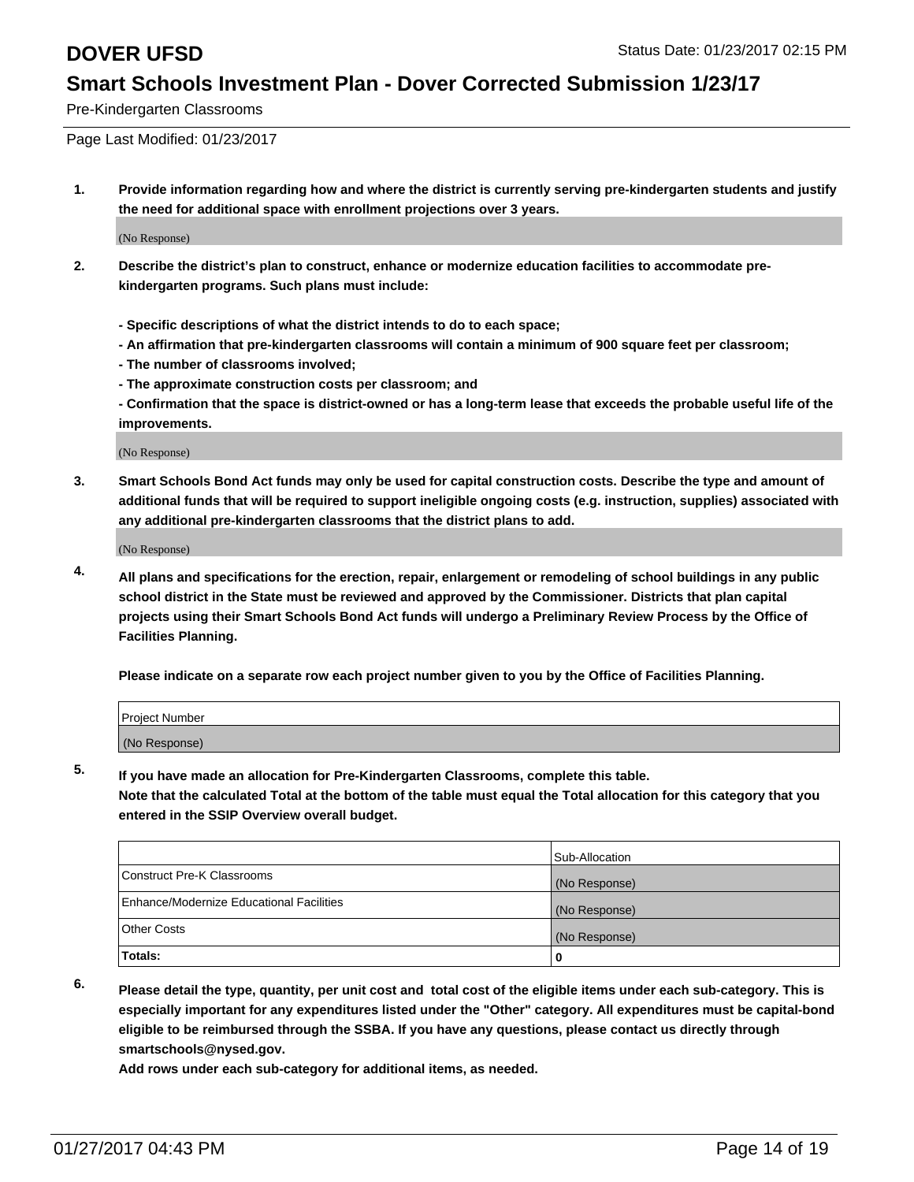Pre-Kindergarten Classrooms

Page Last Modified: 01/23/2017

**1. Provide information regarding how and where the district is currently serving pre-kindergarten students and justify the need for additional space with enrollment projections over 3 years.**

(No Response)

- **2. Describe the district's plan to construct, enhance or modernize education facilities to accommodate prekindergarten programs. Such plans must include:**
	- **Specific descriptions of what the district intends to do to each space;**
	- **An affirmation that pre-kindergarten classrooms will contain a minimum of 900 square feet per classroom;**
	- **The number of classrooms involved;**
	- **The approximate construction costs per classroom; and**
	- **Confirmation that the space is district-owned or has a long-term lease that exceeds the probable useful life of the improvements.**

(No Response)

**3. Smart Schools Bond Act funds may only be used for capital construction costs. Describe the type and amount of additional funds that will be required to support ineligible ongoing costs (e.g. instruction, supplies) associated with any additional pre-kindergarten classrooms that the district plans to add.**

(No Response)

**4. All plans and specifications for the erection, repair, enlargement or remodeling of school buildings in any public school district in the State must be reviewed and approved by the Commissioner. Districts that plan capital projects using their Smart Schools Bond Act funds will undergo a Preliminary Review Process by the Office of Facilities Planning.**

**Please indicate on a separate row each project number given to you by the Office of Facilities Planning.**

| Project Number |  |  |
|----------------|--|--|
| (No Response)  |  |  |

**5. If you have made an allocation for Pre-Kindergarten Classrooms, complete this table.**

**Note that the calculated Total at the bottom of the table must equal the Total allocation for this category that you entered in the SSIP Overview overall budget.**

|                                          | Sub-Allocation |
|------------------------------------------|----------------|
| Construct Pre-K Classrooms               | (No Response)  |
| Enhance/Modernize Educational Facilities | (No Response)  |
| Other Costs                              | (No Response)  |
| Totals:                                  |                |

**6. Please detail the type, quantity, per unit cost and total cost of the eligible items under each sub-category. This is especially important for any expenditures listed under the "Other" category. All expenditures must be capital-bond eligible to be reimbursed through the SSBA. If you have any questions, please contact us directly through smartschools@nysed.gov.**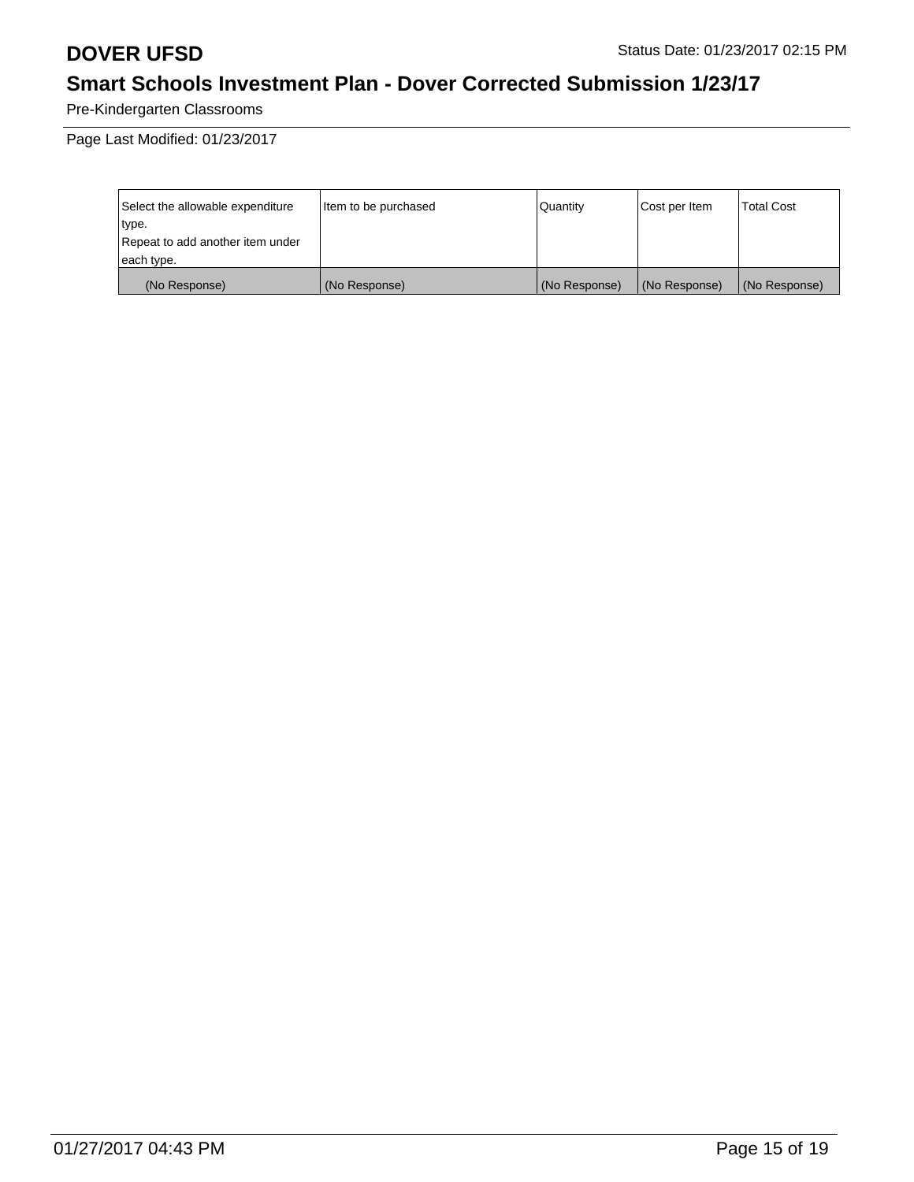Pre-Kindergarten Classrooms

| Select the allowable expenditure | litem to be purchased | Quantity      | Cost per Item | <b>Total Cost</b> |
|----------------------------------|-----------------------|---------------|---------------|-------------------|
| type.                            |                       |               |               |                   |
| Repeat to add another item under |                       |               |               |                   |
| each type.                       |                       |               |               |                   |
| (No Response)                    | (No Response)         | (No Response) | (No Response) | (No Response)     |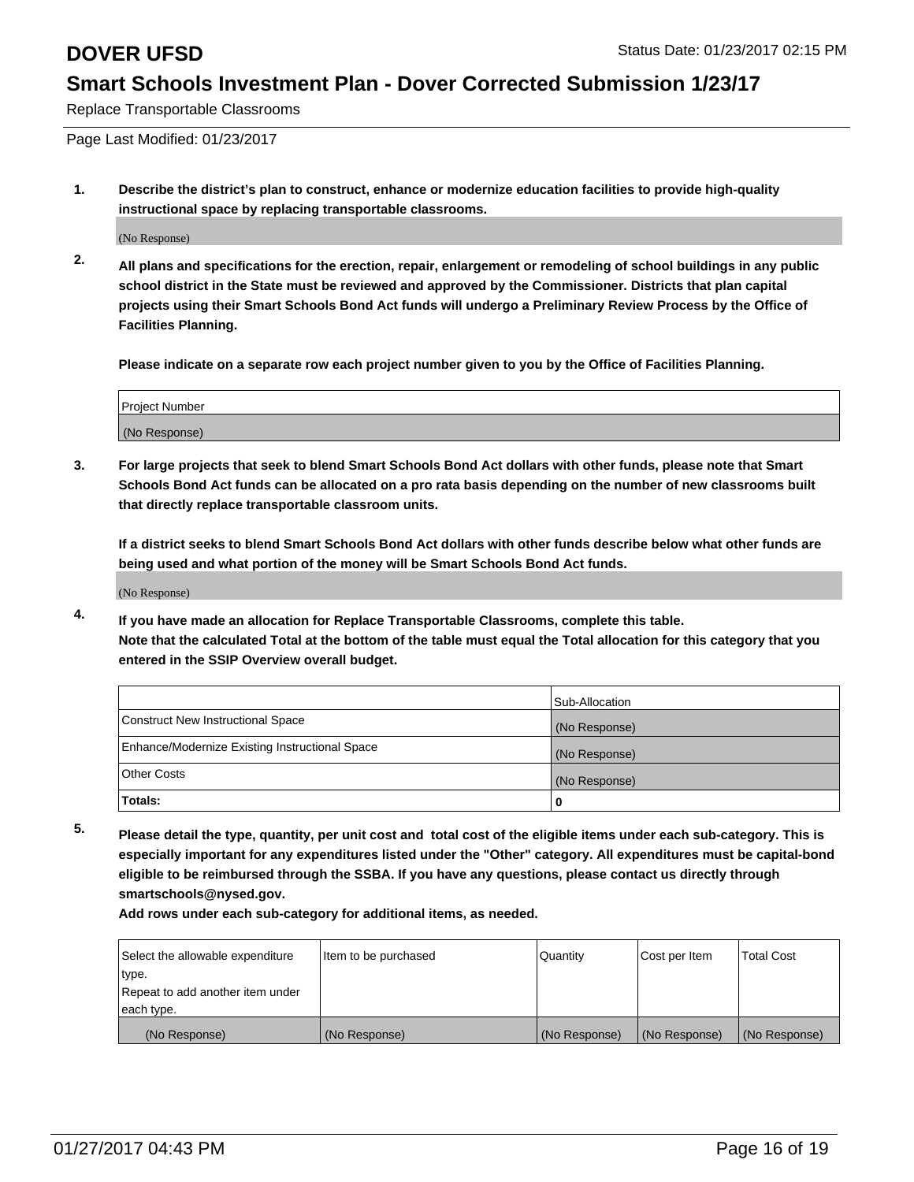Replace Transportable Classrooms

Page Last Modified: 01/23/2017

**1. Describe the district's plan to construct, enhance or modernize education facilities to provide high-quality instructional space by replacing transportable classrooms.**

(No Response)

**2. All plans and specifications for the erection, repair, enlargement or remodeling of school buildings in any public school district in the State must be reviewed and approved by the Commissioner. Districts that plan capital projects using their Smart Schools Bond Act funds will undergo a Preliminary Review Process by the Office of Facilities Planning.**

**Please indicate on a separate row each project number given to you by the Office of Facilities Planning.**

| <b>Project Number</b> |  |
|-----------------------|--|
| (No Response)         |  |

**3. For large projects that seek to blend Smart Schools Bond Act dollars with other funds, please note that Smart Schools Bond Act funds can be allocated on a pro rata basis depending on the number of new classrooms built that directly replace transportable classroom units.**

**If a district seeks to blend Smart Schools Bond Act dollars with other funds describe below what other funds are being used and what portion of the money will be Smart Schools Bond Act funds.**

(No Response)

**4. If you have made an allocation for Replace Transportable Classrooms, complete this table. Note that the calculated Total at the bottom of the table must equal the Total allocation for this category that you entered in the SSIP Overview overall budget.**

|                                                | Sub-Allocation |
|------------------------------------------------|----------------|
| Construct New Instructional Space              | (No Response)  |
| Enhance/Modernize Existing Instructional Space | (No Response)  |
| <b>Other Costs</b>                             | (No Response)  |
| Totals:                                        |                |

**5. Please detail the type, quantity, per unit cost and total cost of the eligible items under each sub-category. This is especially important for any expenditures listed under the "Other" category. All expenditures must be capital-bond eligible to be reimbursed through the SSBA. If you have any questions, please contact us directly through smartschools@nysed.gov.**

| Select the allowable expenditure | Item to be purchased | Quantity      | Cost per Item | <b>Total Cost</b> |
|----------------------------------|----------------------|---------------|---------------|-------------------|
| type.                            |                      |               |               |                   |
| Repeat to add another item under |                      |               |               |                   |
| each type.                       |                      |               |               |                   |
| (No Response)                    | (No Response)        | (No Response) | (No Response) | (No Response)     |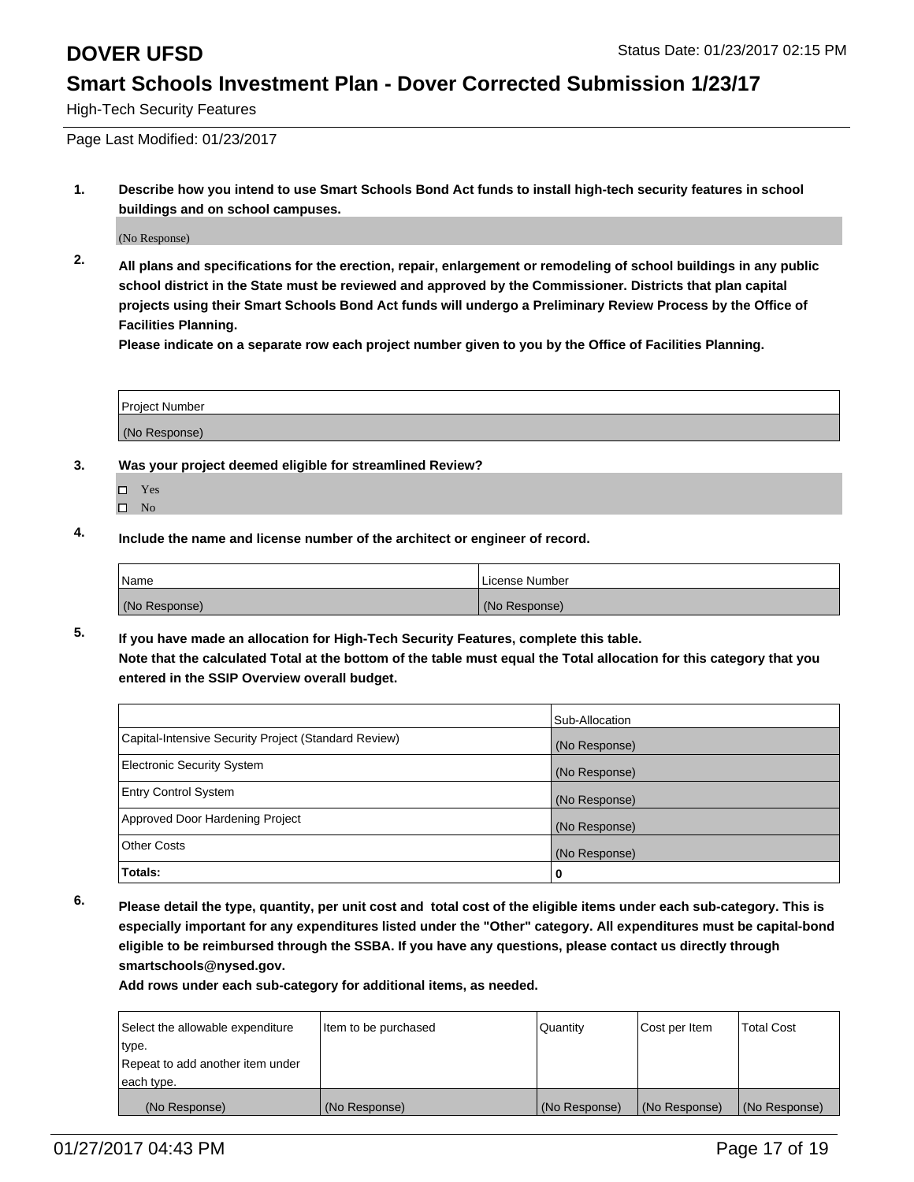High-Tech Security Features

Page Last Modified: 01/23/2017

**1. Describe how you intend to use Smart Schools Bond Act funds to install high-tech security features in school buildings and on school campuses.**

(No Response)

**2. All plans and specifications for the erection, repair, enlargement or remodeling of school buildings in any public school district in the State must be reviewed and approved by the Commissioner. Districts that plan capital projects using their Smart Schools Bond Act funds will undergo a Preliminary Review Process by the Office of Facilities Planning.** 

**Please indicate on a separate row each project number given to you by the Office of Facilities Planning.**

| <b>Project Number</b> |  |
|-----------------------|--|
| (No Response)         |  |

- **3. Was your project deemed eligible for streamlined Review?**
	- Yes
	- $\square$  No
- **4. Include the name and license number of the architect or engineer of record.**

| 'Name         | License Number |
|---------------|----------------|
| (No Response) | (No Response)  |

**5. If you have made an allocation for High-Tech Security Features, complete this table. Note that the calculated Total at the bottom of the table must equal the Total allocation for this category that you entered in the SSIP Overview overall budget.**

|                                                      | Sub-Allocation |
|------------------------------------------------------|----------------|
| Capital-Intensive Security Project (Standard Review) | (No Response)  |
| <b>Electronic Security System</b>                    | (No Response)  |
| <b>Entry Control System</b>                          | (No Response)  |
| Approved Door Hardening Project                      | (No Response)  |
| <b>Other Costs</b>                                   | (No Response)  |
| Totals:                                              | 0              |

**6. Please detail the type, quantity, per unit cost and total cost of the eligible items under each sub-category. This is especially important for any expenditures listed under the "Other" category. All expenditures must be capital-bond eligible to be reimbursed through the SSBA. If you have any questions, please contact us directly through smartschools@nysed.gov.**

| Select the allowable expenditure | Item to be purchased | Quantity      | Cost per Item | <b>Total Cost</b> |
|----------------------------------|----------------------|---------------|---------------|-------------------|
| type.                            |                      |               |               |                   |
| Repeat to add another item under |                      |               |               |                   |
| each type.                       |                      |               |               |                   |
| (No Response)                    | (No Response)        | (No Response) | (No Response) | (No Response)     |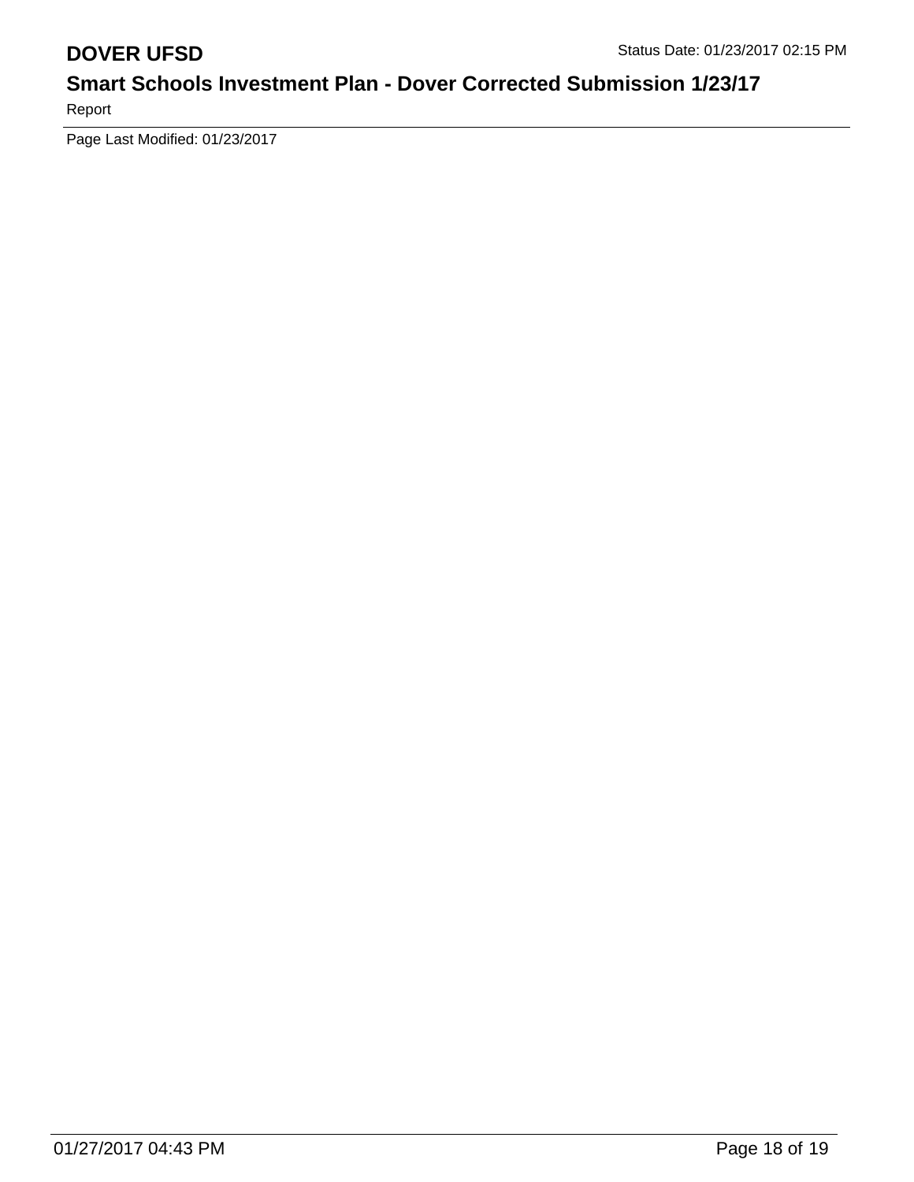Report